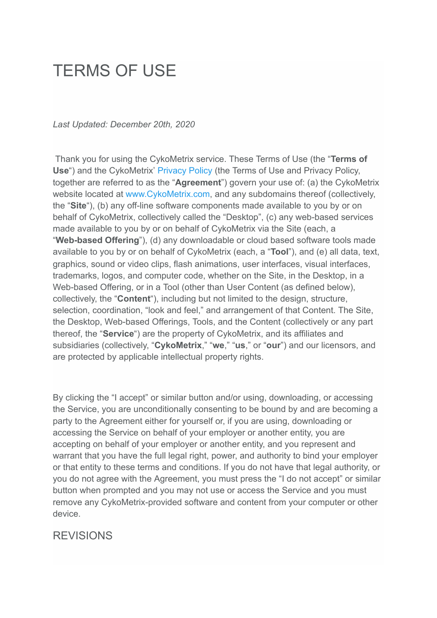# TERMS OF USE

#### *Last Updated: December 20th, 2020*

 Thank you for using the CykoMetrix service. These Terms of Use (the " **Terms of**  Use<sup>"</sup>) and the CykoMetrix' [Privacy Policy](http://www.cykometrix.com/PDF/CykoMetrix-Privacy-Policy.pdf) (the Terms of Use and Privacy Policy, together are referred to as the " **Agreement** ") govern your use of: (a) the CykoMetrix website located at www.CykoMetrix.com, and any subdomains thereof (collectively, the " **Site** "), (b) any off-line software components made available to you by or on behalf of CykoMetrix, collectively called the "Desktop", (c) any web-based services made available to you by or on behalf of CykoMetrix via the Site (each, a " **Web-based Offering** "), (d) any downloadable or cloud based software tools made available to you by or on behalf of CykoMetrix (each, a " **Tool** "), and (e) all data, text, graphics, sound or video clips, flash animations, user interfaces, visual interfaces, trademarks, logos, and computer code, whether on the Site, in the Desktop, in a Web-based Offering, or in a Tool (other than User Content (as defined below), collectively, the "**Content**"), including but not limited to the design, structure, selection, coordination, "look and feel," and arrangement of that Content. The Site, the Desktop, Web-based Offerings, Tools, and the Content (collectively or any part thereof, the " **Service** ") are the property of CykoMetrix, and its affiliates and subsidiaries (collectively, " **CykoMetrix** ," " **we** ," " **us** ," or " **our** ") and our licensors, and are protected by applicable intellectual property rights.

By clicking the "I accept" or similar button and/or using, downloading, or accessing the Service, you are unconditionally consenting to be bound by and are becoming a party to the Agreement either for yourself or, if you are using, downloading or accessing the Service on behalf of your employer or another entity, you are accepting on behalf of your employer or another entity, and you represent and warrant that you have the full legal right, power, and authority to bind your employer or that entity to these terms and conditions. If you do not have that legal authority, or you do not agree with the Agreement, you must press the "I do not accept" or similar button when prompted and you may not use or access the Service and you must remove any CykoMetrix-provided software and content from your computer or other device.

#### REVISIONS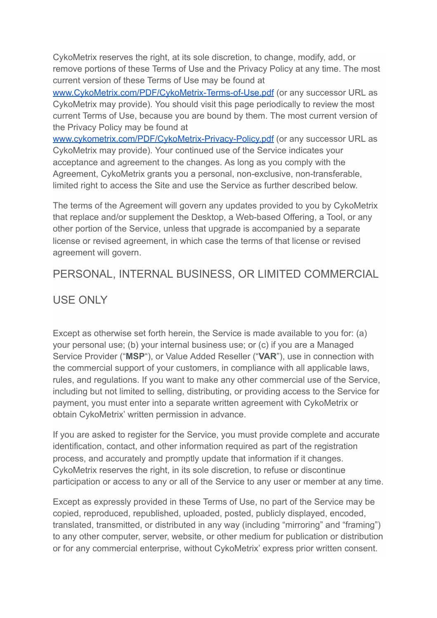CykoMetrix reserves the right, at its sole discretion, to change, modify, add, or remove portions of these Terms of Use and the Privacy Policy at any time. The most current version of these Terms of Use may be found at

[www.CykoMetrix.com/PDF/CykoMetrix-Terms-of-Use.pdf](http://www.cykometrix.com/PDF/CykoMetrix-Terms-of-Use.pdf) (or any successor URL as CykoMetrix may provide). You should visit this page periodically to review the most current Terms of Use, because you are bound by them. The most current version of the Privacy Policy may be found at

[www.cykometrix.com/PDF/CykoMetrix-Privacy-Policy.pdf](http://www.cykometrix.com/PDF/CykoMetrix-Privacy-Policy.pdf) (or any successor URL as CykoMetrix may provide). Your continued use of the Service indicates your acceptance and agreement to the changes. As long as you comply with the Agreement, CykoMetrix grants you a personal, non-exclusive, non-transferable, limited right to access the Site and use the Service as further described below.

The terms of the Agreement will govern any updates provided to you by CykoMetrix that replace and/or supplement the Desktop, a Web-based Offering, a Tool, or any other portion of the Service, unless that upgrade is accompanied by a separate license or revised agreement, in which case the terms of that license or revised agreement will govern.

# PERSONAL, INTERNAL BUSINESS, OR LIMITED COMMERCIAL

# USE ONLY

Except as otherwise set forth herein, the Service is made available to you for: (a) your personal use; (b) your internal business use; or (c) if you are a Managed Service Provider ("MSP"), or Value Added Reseller ("VAR"), use in connection with the commercial support of your customers, in compliance with all applicable laws, rules, and regulations. If you want to make any other commercial use of the Service, including but not limited to selling, distributing, or providing access to the Service for payment, you must enter into a separate written agreement with CykoMetrix or obtain CykoMetrix' written permission in advance.

If you are asked to register for the Service, you must provide complete and accurate identification, contact, and other information required as part of the registration process, and accurately and promptly update that information if it changes. CykoMetrix reserves the right, in its sole discretion, to refuse or discontinue participation or access to any or all of the Service to any user or member at any time.

Except as expressly provided in these Terms of Use, no part of the Service may be copied, reproduced, republished, uploaded, posted, publicly displayed, encoded, translated, transmitted, or distributed in any way (including "mirroring" and "framing") to any other computer, server, website, or other medium for publication or distribution or for any commercial enterprise, without CykoMetrix' express prior written consent.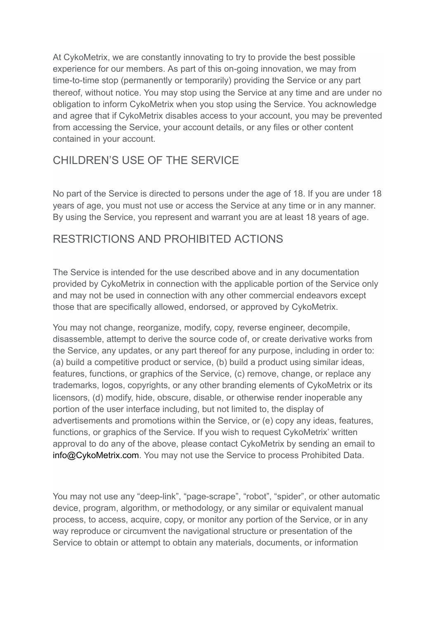At CykoMetrix, we are constantly innovating to try to provide the best possible experience for our members. As part of this on-going innovation, we may from time-to-time stop (permanently or temporarily) providing the Service or any part thereof, without notice. You may stop using the Service at any time and are under no obligation to inform CykoMetrix when you stop using the Service. You acknowledge and agree that if CykoMetrix disables access to your account, you may be prevented from accessing the Service, your account details, or any files or other content contained in your account.

# CHILDREN'S USE OF THE SERVICE

No part of the Service is directed to persons under the age of 18. If you are under 18 years of age, you must not use or access the Service at any time or in any manner. By using the Service, you represent and warrant you are at least 18 years of age.

#### RESTRICTIONS AND PROHIBITED ACTIONS

The Service is intended for the use described above and in any documentation provided by CykoMetrix in connection with the applicable portion of the Service only and may not be used in connection with any other commercial endeavors except those that are specifically allowed, endorsed, or approved by CykoMetrix.

You may not change, reorganize, modify, copy, reverse engineer, decompile, disassemble, attempt to derive the source code of, or create derivative works from the Service, any updates, or any part thereof for any purpose, including in order to: (a) build a competitive product or service, (b) build a product using similar ideas, features, functions, or graphics of the Service, (c) remove, change, or replace any trademarks, logos, copyrights, or any other branding elements of CykoMetrix or its licensors, (d) modify, hide, obscure, disable, or otherwise render inoperable any portion of the user interface including, but not limited to, the display of advertisements and promotions within the Service, or (e) copy any ideas, features, functions, or graphics of the Service. If you wish to request CykoMetrix' written approval to do any of the above, please contact CykoMetrix by sending an email to info@CykoMetrix.com. You may not use the Service to process Prohibited Data.

You may not use any "deep-link", "page-scrape", "robot", "spider", or other automatic device, program, algorithm, or methodology, or any similar or equivalent manual process, to access, acquire, copy, or monitor any portion of the Service, or in any way reproduce or circumvent the navigational structure or presentation of the Service to obtain or attempt to obtain any materials, documents, or information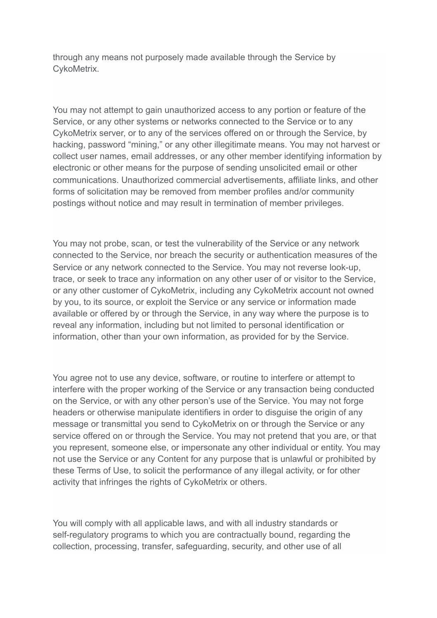through any means not purposely made available through the Service by CykoMetrix.

You may not attempt to gain unauthorized access to any portion or feature of the Service, or any other systems or networks connected to the Service or to any CykoMetrix server, or to any of the services offered on or through the Service, by hacking, password "mining," or any other illegitimate means. You may not harvest or collect user names, email addresses, or any other member identifying information by electronic or other means for the purpose of sending unsolicited email or other communications. Unauthorized commercial advertisements, affiliate links, and other forms of solicitation may be removed from member profiles and/or community postings without notice and may result in termination of member privileges.

You may not probe, scan, or test the vulnerability of the Service or any network connected to the Service, nor breach the security or authentication measures of the Service or any network connected to the Service. You may not reverse look-up, trace, or seek to trace any information on any other user of or visitor to the Service, or any other customer of CykoMetrix, including any CykoMetrix account not owned by you, to its source, or exploit the Service or any service or information made available or offered by or through the Service, in any way where the purpose is to reveal any information, including but not limited to personal identification or information, other than your own information, as provided for by the Service.

You agree not to use any device, software, or routine to interfere or attempt to interfere with the proper working of the Service or any transaction being conducted on the Service, or with any other person's use of the Service. You may not forge headers or otherwise manipulate identifiers in order to disguise the origin of any message or transmittal you send to CykoMetrix on or through the Service or any service offered on or through the Service. You may not pretend that you are, or that you represent, someone else, or impersonate any other individual or entity. You may not use the Service or any Content for any purpose that is unlawful or prohibited by these Terms of Use, to solicit the performance of any illegal activity, or for other activity that infringes the rights of CykoMetrix or others.

You will comply with all applicable laws, and with all industry standards or self-regulatory programs to which you are contractually bound, regarding the collection, processing, transfer, safeguarding, security, and other use of all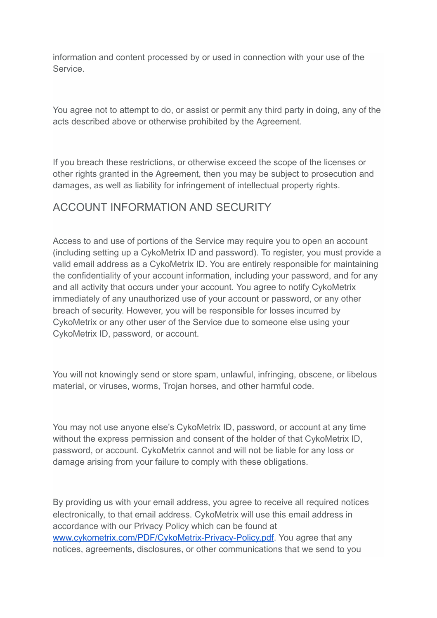information and content processed by or used in connection with your use of the Service.

You agree not to attempt to do, or assist or permit any third party in doing, any of the acts described above or otherwise prohibited by the Agreement.

If you breach these restrictions, or otherwise exceed the scope of the licenses or other rights granted in the Agreement, then you may be subject to prosecution and damages, as well as liability for infringement of intellectual property rights.

#### ACCOUNT INFORMATION AND SECURITY

Access to and use of portions of the Service may require you to open an account (including setting up a CykoMetrix ID and password). To register, you must provide a valid email address as a CykoMetrix ID. You are entirely responsible for maintaining the confidentiality of your account information, including your password, and for any and all activity that occurs under your account. You agree to notify CykoMetrix immediately of any unauthorized use of your account or password, or any other breach of security. However, you will be responsible for losses incurred by CykoMetrix or any other user of the Service due to someone else using your CykoMetrix ID, password, or account.

You will not knowingly send or store spam, unlawful, infringing, obscene, or libelous material, or viruses, worms, Trojan horses, and other harmful code.

You may not use anyone else's CykoMetrix ID, password, or account at any time without the express permission and consent of the holder of that CykoMetrix ID, password, or account. CykoMetrix cannot and will not be liable for any loss or damage arising from your failure to comply with these obligations.

By providing us with your email address, you agree to receive all required notices electronically, to that email address. CykoMetrix will use this email address in accordance with our Privacy Policy which can be found at www.cykometrix.com/PDF/CykoMetrix-Privacy-Policy.pdf. You agree that any notices, agreements, disclosures, or other communications that we send to you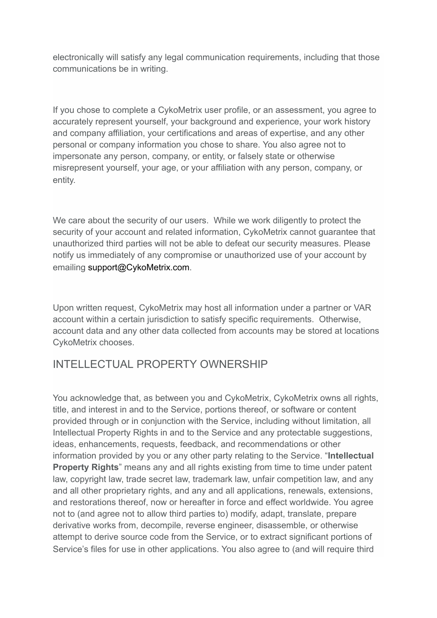electronically will satisfy any legal communication requirements, including that those communications be in writing.

If you chose to complete a CykoMetrix user profile, or an assessment, you agree to accurately represent yourself, your background and experience, your work history and company affiliation, your certifications and areas of expertise, and any other personal or company information you chose to share. You also agree not to impersonate any person, company, or entity, or falsely state or otherwise misrepresent yourself, your age, or your affiliation with any person, company, or entity.

We care about the security of our users. While we work diligently to protect the security of your account and related information, CykoMetrix cannot guarantee that unauthorized third parties will not be able to defeat our security measures. Please notify us immediately of any compromise or unauthorized use of your account by emailing support@CykoMetrix.com.

Upon written request, CykoMetrix may host all information under a partner or VAR account within a certain jurisdiction to satisfy specific requirements. Otherwise, account data and any other data collected from accounts may be stored at locations CykoMetrix chooses.

# INTELLECTUAL PROPERTY OWNERSHIP

You acknowledge that, as between you and CykoMetrix, CykoMetrix owns all rights, title, and interest in and to the Service, portions thereof, or software or content provided through or in conjunction with the Service, including without limitation, all Intellectual Property Rights in and to the Service and any protectable suggestions, ideas, enhancements, requests, feedback, and recommendations or other information provided by you or any other party relating to the Service. " **Intellectual Property Rights**" means any and all rights existing from time to time under patent law, copyright law, trade secret law, trademark law, unfair competition law, and any and all other proprietary rights, and any and all applications, renewals, extensions, and restorations thereof, now or hereafter in force and effect worldwide. You agree not to (and agree not to allow third parties to) modify, adapt, translate, prepare derivative works from, decompile, reverse engineer, disassemble, or otherwise attempt to derive source code from the Service, or to extract significant portions of Service's files for use in other applications. You also agree to (and will require third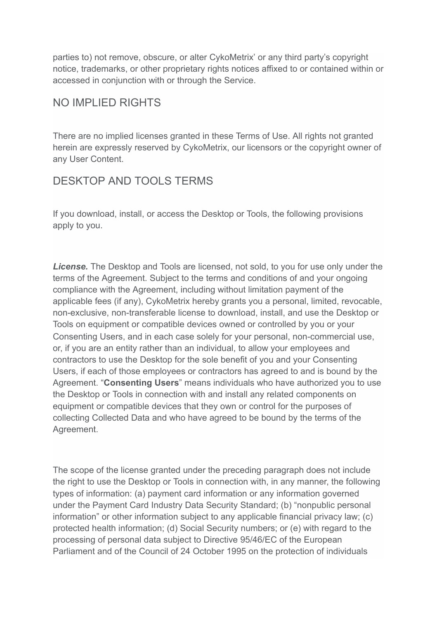parties to) not remove, obscure, or alter CykoMetrix' or any third party's copyright notice, trademarks, or other proprietary rights notices affixed to or contained within or accessed in conjunction with or through the Service.

#### NO IMPLIED RIGHTS

There are no implied licenses granted in these Terms of Use. All rights not granted herein are expressly reserved by CykoMetrix, our licensors or the copyright owner of any User Content.

# DESKTOP AND TOOLS TERMS

If you download, install, or access the Desktop or Tools, the following provisions apply to you.

*License.* The Desktop and Tools are licensed, not sold, to you for use only under the terms of the Agreement. Subject to the terms and conditions of and your ongoing compliance with the Agreement, including without limitation payment of the applicable fees (if any), CykoMetrix hereby grants you a personal, limited, revocable, non-exclusive, non-transferable license to download, install, and use the Desktop or Tools on equipment or compatible devices owned or controlled by you or your Consenting Users, and in each case solely for your personal, non-commercial use, or, if you are an entity rather than an individual, to allow your employees and contractors to use the Desktop for the sole benefit of you and your Consenting Users, if each of those employees or contractors has agreed to and is bound by the Agreement. "**Consenting Users**" means individuals who have authorized you to use the Desktop or Tools in connection with and install any related components on equipment or compatible devices that they own or control for the purposes of collecting Collected Data and who have agreed to be bound by the terms of the Agreement.

The scope of the license granted under the preceding paragraph does not include the right to use the Desktop or Tools in connection with, in any manner, the following types of information: (a) payment card information or any information governed under the Payment Card Industry Data Security Standard; (b) "nonpublic personal information" or other information subject to any applicable financial privacy law; (c) protected health information; (d) Social Security numbers; or (e) with regard to the processing of personal data subject to Directive 95/46/EC of the European Parliament and of the Council of 24 October 1995 on the protection of individuals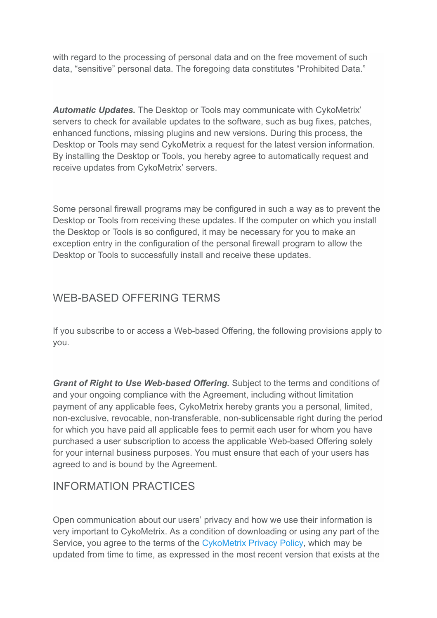with regard to the processing of personal data and on the free movement of such data, "sensitive" personal data. The foregoing data constitutes "Prohibited Data."

*Automatic Updates.* The Desktop or Tools may communicate with CykoMetrix' servers to check for available updates to the software, such as bug fixes, patches, enhanced functions, missing plugins and new versions. During this process, the Desktop or Tools may send CykoMetrix a request for the latest version information. By installing the Desktop or Tools, you hereby agree to automatically request and receive updates from CykoMetrix' servers.

Some personal firewall programs may be configured in such a way as to prevent the Desktop or Tools from receiving these updates. If the computer on which you install the Desktop or Tools is so configured, it may be necessary for you to make an exception entry in the configuration of the personal firewall program to allow the Desktop or Tools to successfully install and receive these updates.

# WEB-BASED OFFERING TERMS

If you subscribe to or access a Web-based Offering, the following provisions apply to you.

*Grant of Right to Use Web-based Offering.* Subject to the terms and conditions of and your ongoing compliance with the Agreement, including without limitation payment of any applicable fees, CykoMetrix hereby grants you a personal, limited, non-exclusive, revocable, non-transferable, non-sublicensable right during the period for which you have paid all applicable fees to permit each user for whom you have purchased a user subscription to access the applicable Web-based Offering solely for your internal business purposes. You must ensure that each of your users has agreed to and is bound by the Agreement.

# INFORMATION PRACTICES

Open communication about our users' privacy and how we use their information is very important to CykoMetrix. As a condition of downloading or using any part of the Service, you agree to the terms of the [CykoMetrix Privacy Policy](http://www.cykometrix.com/PDF/CykoMetrix-Privacy-Policy.pdf), which may be updated from time to time, as expressed in the most recent version that exists at the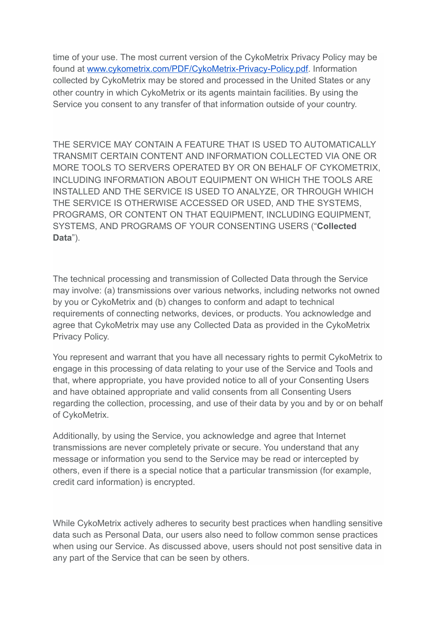time of your use. The most current version of the CykoMetrix Privacy Policy may be found at www.cykometrix.com/PDF/CykoMetrix-Privacy-Policy.pdf. Information collected by CykoMetrix may be stored and processed in the United States or any other country in which CykoMetrix or its agents maintain facilities. By using the Service you consent to any transfer of that information outside of your country.

THE SERVICE MAY CONTAIN A FEATURE THAT IS USED TO AUTOMATICALLY TRANSMIT CERTAIN CONTENT AND INFORMATION COLLECTED VIA ONE OR MORE TOOLS TO SERVERS OPERATED BY OR ON BEHALF OF CYKOMETRIX, INCLUDING INFORMATION ABOUT EQUIPMENT ON WHICH THE TOOLS ARE INSTALLED AND THE SERVICE IS USED TO ANALYZE, OR THROUGH WHICH THE SERVICE IS OTHERWISE ACCESSED OR USED, AND THE SYSTEMS, PROGRAMS, OR CONTENT ON THAT EQUIPMENT, INCLUDING EQUIPMENT, SYSTEMS, AND PROGRAMS OF YOUR CONSENTING USERS (" **Collected Data**").

The technical processing and transmission of Collected Data through the Service may involve: (a) transmissions over various networks, including networks not owned by you or CykoMetrix and (b) changes to conform and adapt to technical requirements of connecting networks, devices, or products. You acknowledge and agree that CykoMetrix may use any Collected Data as provided in the CykoMetrix Privacy Policy.

You represent and warrant that you have all necessary rights to permit CykoMetrix to engage in this processing of data relating to your use of the Service and Tools and that, where appropriate, you have provided notice to all of your Consenting Users and have obtained appropriate and valid consents from all Consenting Users regarding the collection, processing, and use of their data by you and by or on behalf of CykoMetrix.

Additionally, by using the Service, you acknowledge and agree that Internet transmissions are never completely private or secure. You understand that any message or information you send to the Service may be read or intercepted by others, even if there is a special notice that a particular transmission (for example, credit card information) is encrypted.

While CykoMetrix actively adheres to security best practices when handling sensitive data such as Personal Data, our users also need to follow common sense practices when using our Service. As discussed above, users should not post sensitive data in any part of the Service that can be seen by others.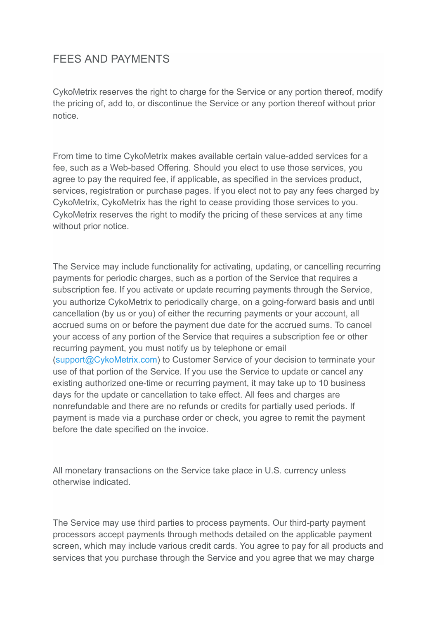# FEES AND PAYMENTS

CykoMetrix reserves the right to charge for the Service or any portion thereof, modify the pricing of, add to, or discontinue the Service or any portion thereof without prior notice.

From time to time CykoMetrix makes available certain value-added services for a fee, such as a Web-based Offering. Should you elect to use those services, you agree to pay the required fee, if applicable, as specified in the services product, services, registration or purchase pages. If you elect not to pay any fees charged by CykoMetrix, CykoMetrix has the right to cease providing those services to you. CykoMetrix reserves the right to modify the pricing of these services at any time without prior notice.

The Service may include functionality for activating, updating, or cancelling recurring payments for periodic charges, such as a portion of the Service that requires a subscription fee. If you activate or update recurring payments through the Service, you authorize CykoMetrix to periodically charge, on a going-forward basis and until cancellation (by us or you) of either the recurring payments or your account, all accrued sums on or before the payment due date for the accrued sums. To cancel your access of any portion of the Service that requires a subscription fee or other recurring payment, you must notify us by telephone or email ( support@CykoMetrix.com ) to Customer Service of your decision to terminate your use of that portion of the Service. If you use the Service to update or cancel any existing authorized one-time or recurring payment, it may take up to 10 business days for the update or cancellation to take effect. All fees and charges are nonrefundable and there are no refunds or credits for partially used periods. If payment is made via a purchase order or check, you agree to remit the payment before the date specified on the invoice.

All monetary transactions on the Service take place in U.S. currency unless otherwise indicated.

The Service may use third parties to process payments. Our third-party payment processors accept payments through methods detailed on the applicable payment screen, which may include various credit cards. You agree to pay for all products and services that you purchase through the Service and you agree that we may charge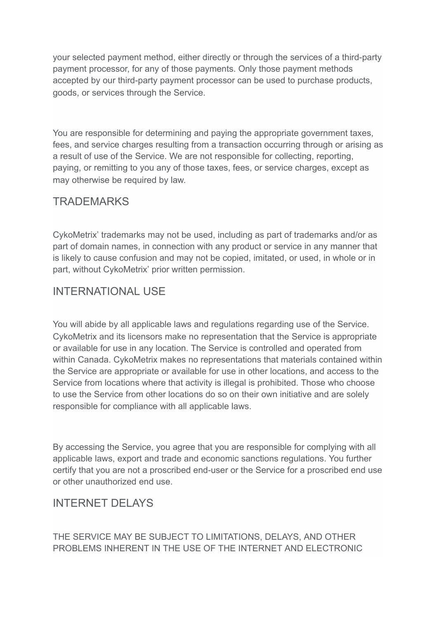your selected payment method, either directly or through the services of a third-party payment processor, for any of those payments. Only those payment methods accepted by our third-party payment processor can be used to purchase products, goods, or services through the Service.

You are responsible for determining and paying the appropriate government taxes, fees, and service charges resulting from a transaction occurring through or arising as a result of use of the Service. We are not responsible for collecting, reporting, paying, or remitting to you any of those taxes, fees, or service charges, except as may otherwise be required by law.

#### **TRADEMARKS**

CykoMetrix' trademarks may not be used, including as part of trademarks and/or as part of domain names, in connection with any product or service in any manner that is likely to cause confusion and may not be copied, imitated, or used, in whole or in part, without CykoMetrix' prior written permission.

#### INTERNATIONAL USE

You will abide by all applicable laws and regulations regarding use of the Service. CykoMetrix and its licensors make no representation that the Service is appropriate or available for use in any location. The Service is controlled and operated from within Canada. CykoMetrix makes no representations that materials contained within the Service are appropriate or available for use in other locations, and access to the Service from locations where that activity is illegal is prohibited. Those who choose to use the Service from other locations do so on their own initiative and are solely responsible for compliance with all applicable laws.

By accessing the Service, you agree that you are responsible for complying with all applicable laws, export and trade and economic sanctions regulations. You further certify that you are not a proscribed end-user or the Service for a proscribed end use or other unauthorized end use.

#### INTERNET DELAYS

THE SERVICE MAY BE SUBJECT TO LIMITATIONS, DELAYS, AND OTHER PROBLEMS INHERENT IN THE USE OF THE INTERNET AND ELECTRONIC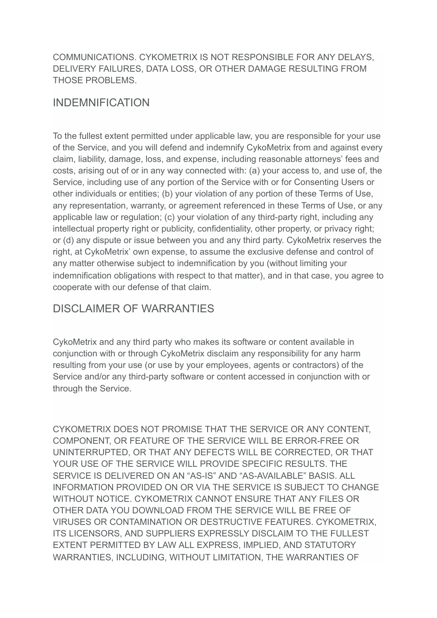#### COMMUNICATIONS. CYKOMETRIX IS NOT RESPONSIBLE FOR ANY DELAYS, DELIVERY FAILURES, DATA LOSS, OR OTHER DAMAGE RESULTING FROM THOSE PROBLEMS.

#### INDEMNIFICATION

To the fullest extent permitted under applicable law, you are responsible for your use of the Service, and you will defend and indemnify CykoMetrix from and against every claim, liability, damage, loss, and expense, including reasonable attorneys' fees and costs, arising out of or in any way connected with: (a) your access to, and use of, the Service, including use of any portion of the Service with or for Consenting Users or other individuals or entities; (b) your violation of any portion of these Terms of Use, any representation, warranty, or agreement referenced in these Terms of Use, or any applicable law or regulation; (c) your violation of any third-party right, including any intellectual property right or publicity, confidentiality, other property, or privacy right; or (d) any dispute or issue between you and any third party. CykoMetrix reserves the right, at CykoMetrix' own expense, to assume the exclusive defense and control of any matter otherwise subject to indemnification by you (without limiting your indemnification obligations with respect to that matter), and in that case, you agree to cooperate with our defense of that claim.

### DISCLAIMER OF WARRANTIES

CykoMetrix and any third party who makes its software or content available in conjunction with or through CykoMetrix disclaim any responsibility for any harm resulting from your use (or use by your employees, agents or contractors) of the Service and/or any third-party software or content accessed in conjunction with or through the Service.

CYKOMETRIX DOES NOT PROMISE THAT THE SERVICE OR ANY CONTENT, COMPONENT, OR FEATURE OF THE SERVICE WILL BE ERROR-FREE OR UNINTERRUPTED, OR THAT ANY DEFECTS WILL BE CORRECTED, OR THAT YOUR USE OF THE SERVICE WILL PROVIDE SPECIFIC RESULTS. THE SERVICE IS DELIVERED ON AN "AS-IS" AND "AS-AVAILABLE" BASIS. ALL INFORMATION PROVIDED ON OR VIA THE SERVICE IS SUBJECT TO CHANGE WITHOUT NOTICE. CYKOMETRIX CANNOT ENSURE THAT ANY FILES OR OTHER DATA YOU DOWNLOAD FROM THE SERVICE WILL BE FREE OF VIRUSES OR CONTAMINATION OR DESTRUCTIVE FEATURES. CYKOMETRIX, ITS LICENSORS, AND SUPPLIERS EXPRESSLY DISCLAIM TO THE FULLEST EXTENT PERMITTED BY LAW ALL EXPRESS, IMPLIED, AND STATUTORY WARRANTIES, INCLUDING, WITHOUT LIMITATION, THE WARRANTIES OF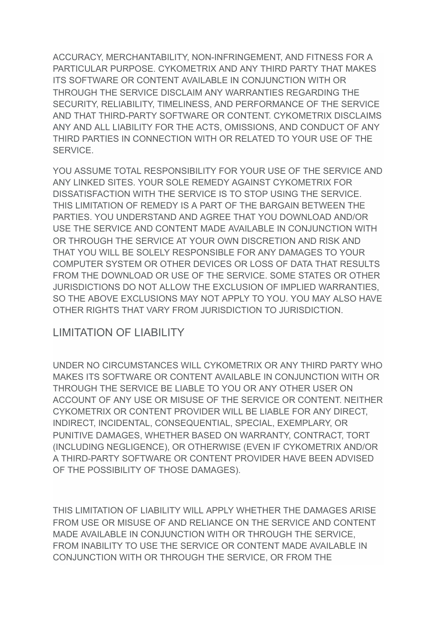ACCURACY, MERCHANTABILITY, NON-INFRINGEMENT, AND FITNESS FOR A PARTICULAR PURPOSE. CYKOMETRIX AND ANY THIRD PARTY THAT MAKES ITS SOFTWARE OR CONTENT AVAILABLE IN CONJUNCTION WITH OR THROUGH THE SERVICE DISCLAIM ANY WARRANTIES REGARDING THE SECURITY, RELIABILITY, TIMELINESS, AND PERFORMANCE OF THE SERVICE AND THAT THIRD-PARTY SOFTWARE OR CONTENT. CYKOMETRIX DISCLAIMS ANY AND ALL LIABILITY FOR THE ACTS, OMISSIONS, AND CONDUCT OF ANY THIRD PARTIES IN CONNECTION WITH OR RELATED TO YOUR USE OF THE SERVICE.

YOU ASSUME TOTAL RESPONSIBILITY FOR YOUR USE OF THE SERVICE AND ANY LINKED SITES. YOUR SOLE REMEDY AGAINST CYKOMETRIX FOR DISSATISFACTION WITH THE SERVICE IS TO STOP USING THE SERVICE. THIS LIMITATION OF REMEDY IS A PART OF THE BARGAIN BETWEEN THE PARTIES. YOU UNDERSTAND AND AGREE THAT YOU DOWNLOAD AND/OR USE THE SERVICE AND CONTENT MADE AVAILABLE IN CONJUNCTION WITH OR THROUGH THE SERVICE AT YOUR OWN DISCRETION AND RISK AND THAT YOU WILL BE SOLELY RESPONSIBLE FOR ANY DAMAGES TO YOUR COMPUTER SYSTEM OR OTHER DEVICES OR LOSS OF DATA THAT RESULTS FROM THE DOWNLOAD OR USE OF THE SERVICE. SOME STATES OR OTHER JURISDICTIONS DO NOT ALLOW THE EXCLUSION OF IMPLIED WARRANTIES, SO THE ABOVE EXCLUSIONS MAY NOT APPLY TO YOU. YOU MAY ALSO HAVE OTHER RIGHTS THAT VARY FROM JURISDICTION TO JURISDICTION.

#### LIMITATION OF LIABILITY

UNDER NO CIRCUMSTANCES WILL CYKOMETRIX OR ANY THIRD PARTY WHO MAKES ITS SOFTWARE OR CONTENT AVAILABLE IN CONJUNCTION WITH OR THROUGH THE SERVICE BE LIABLE TO YOU OR ANY OTHER USER ON ACCOUNT OF ANY USE OR MISUSE OF THE SERVICE OR CONTENT. NEITHER CYKOMETRIX OR CONTENT PROVIDER WILL BE LIABLE FOR ANY DIRECT, INDIRECT, INCIDENTAL, CONSEQUENTIAL, SPECIAL, EXEMPLARY, OR PUNITIVE DAMAGES, WHETHER BASED ON WARRANTY, CONTRACT, TORT (INCLUDING NEGLIGENCE), OR OTHERWISE (EVEN IF CYKOMETRIX AND/OR A THIRD-PARTY SOFTWARE OR CONTENT PROVIDER HAVE BEEN ADVISED OF THE POSSIBILITY OF THOSE DAMAGES).

THIS LIMITATION OF LIABILITY WILL APPLY WHETHER THE DAMAGES ARISE FROM USE OR MISUSE OF AND RELIANCE ON THE SERVICE AND CONTENT MADE AVAILABLE IN CONJUNCTION WITH OR THROUGH THE SERVICE, FROM INABILITY TO USE THE SERVICE OR CONTENT MADE AVAILABLE IN CONJUNCTION WITH OR THROUGH THE SERVICE, OR FROM THE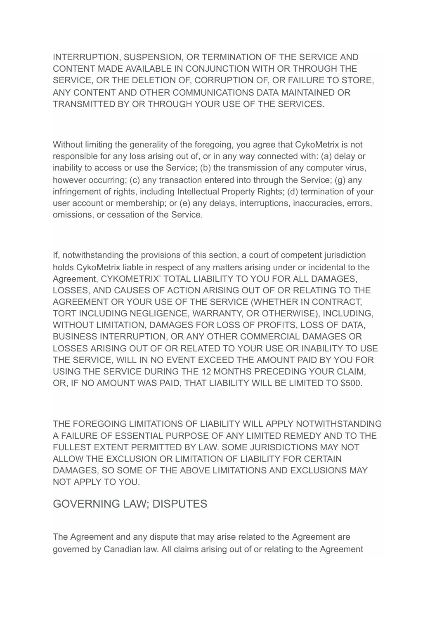INTERRUPTION, SUSPENSION, OR TERMINATION OF THE SERVICE AND CONTENT MADE AVAILABLE IN CONJUNCTION WITH OR THROUGH THE SERVICE, OR THE DELETION OF, CORRUPTION OF, OR FAILURE TO STORE, ANY CONTENT AND OTHER COMMUNICATIONS DATA MAINTAINED OR TRANSMITTED BY OR THROUGH YOUR USE OF THE SERVICES.

Without limiting the generality of the foregoing, you agree that CykoMetrix is not responsible for any loss arising out of, or in any way connected with: (a) delay or inability to access or use the Service; (b) the transmission of any computer virus, however occurring; (c) any transaction entered into through the Service; (g) any infringement of rights, including Intellectual Property Rights; (d) termination of your user account or membership; or (e) any delays, interruptions, inaccuracies, errors, omissions, or cessation of the Service.

If, notwithstanding the provisions of this section, a court of competent jurisdiction holds CykoMetrix liable in respect of any matters arising under or incidental to the Agreement, CYKOMETRIX' TOTAL LIABILITY TO YOU FOR ALL DAMAGES, LOSSES, AND CAUSES OF ACTION ARISING OUT OF OR RELATING TO THE AGREEMENT OR YOUR USE OF THE SERVICE (WHETHER IN CONTRACT, TORT INCLUDING NEGLIGENCE, WARRANTY, OR OTHERWISE), INCLUDING, WITHOUT LIMITATION, DAMAGES FOR LOSS OF PROFITS, LOSS OF DATA, BUSINESS INTERRUPTION, OR ANY OTHER COMMERCIAL DAMAGES OR LOSSES ARISING OUT OF OR RELATED TO YOUR USE OR INABILITY TO USE THE SERVICE, WILL IN NO EVENT EXCEED THE AMOUNT PAID BY YOU FOR USING THE SERVICE DURING THE 12 MONTHS PRECEDING YOUR CLAIM, OR, IF NO AMOUNT WAS PAID, THAT LIABILITY WILL BE LIMITED TO \$500.

THE FOREGOING LIMITATIONS OF LIABILITY WILL APPLY NOTWITHSTANDING A FAILURE OF ESSENTIAL PURPOSE OF ANY LIMITED REMEDY AND TO THE FULLEST EXTENT PERMITTED BY LAW. SOME JURISDICTIONS MAY NOT ALLOW THE EXCLUSION OR LIMITATION OF LIABILITY FOR CERTAIN DAMAGES, SO SOME OF THE ABOVE LIMITATIONS AND EXCLUSIONS MAY NOT APPLY TO YOU.

#### GOVERNING LAW; DISPUTES

The Agreement and any dispute that may arise related to the Agreement are governed by Canadian law. All claims arising out of or relating to the Agreement